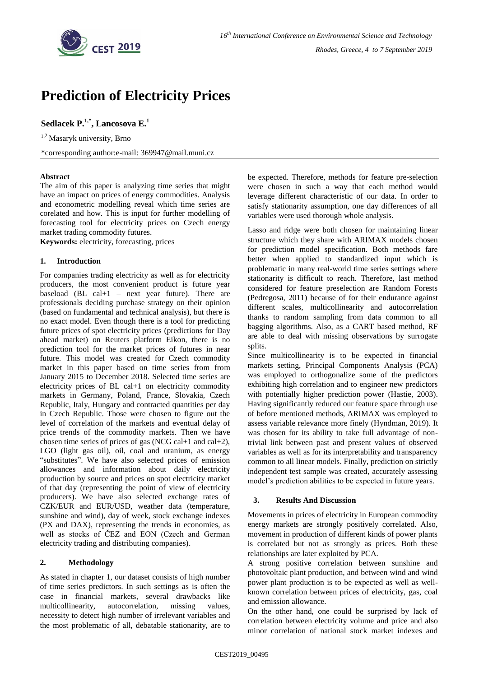

# **Prediction of Electricity Prices**

**Sedlacek P.1,\* , Lancosova E.<sup>1</sup>**

 $1,2$  Masaryk university, Brno

\*corresponding author:e-mail: 369947@mail.muni.cz

## **Abstract**

The aim of this paper is analyzing time series that might have an impact on prices of energy commodities. Analysis and econometric modelling reveal which time series are corelated and how. This is input for further modelling of forecasting tool for electricity prices on Czech energy market trading commodity futures.

**Keywords:** electricity, forecasting, prices

## **1. Introduction**

For companies trading electricity as well as for electricity producers, the most convenient product is future year baseload (BL cal+1 – next year future). There are professionals deciding purchase strategy on their opinion (based on fundamental and technical analysis), but there is no exact model. Even though there is a tool for predicting future prices of spot electricity prices (predictions for Day ahead market) on Reuters platform Eikon, there is no prediction tool for the market prices of futures in near future. This model was created for Czech commodity market in this paper based on time series from from January 2015 to December 2018. Selected time series are electricity prices of BL cal+1 on electricity commodity markets in Germany, Poland, France, Slovakia, Czech Republic, Italy, Hungary and contracted quantities per day in Czech Republic. Those were chosen to figure out the level of correlation of the markets and eventual delay of price trends of the commodity markets. Then we have chosen time series of prices of gas (NCG cal+1 and cal+2), LGO (light gas oil), oil, coal and uranium, as energy "substitutes". We have also selected prices of emission allowances and information about daily electricity production by source and prices on spot electricity market of that day (representing the point of view of electricity producers). We have also selected exchange rates of CZK/EUR and EUR/USD, weather data (temperature, sunshine and wind), day of week, stock exchange indexes (PX and DAX), representing the trends in economies, as well as stocks of ČEZ and EON (Czech and German electricity trading and distributing companies).

## **2. Methodology**

As stated in chapter 1, our dataset consists of high number of time series predictors. In such settings as is often the case in financial markets, several drawbacks like multicollinearity, autocorrelation, missing values, necessity to detect high number of irrelevant variables and the most problematic of all, debatable stationarity, are to be expected. Therefore, methods for feature pre-selection were chosen in such a way that each method would leverage different characteristic of our data. In order to satisfy stationarity assumption, one day differences of all variables were used thorough whole analysis.

Lasso and ridge were both chosen for maintaining linear structure which they share with ARIMAX models chosen for prediction model specification. Both methods fare better when applied to standardized input which is problematic in many real-world time series settings where stationarity is difficult to reach. Therefore, last method considered for feature preselection are Random Forests (Pedregosa, 2011) because of for their endurance against different scales, multicollinearity and autocorrelation thanks to random sampling from data common to all bagging algorithms. Also, as a CART based method, RF are able to deal with missing observations by surrogate splits.

Since multicollinearity is to be expected in financial markets setting, Principal Components Analysis (PCA) was employed to orthogonalize some of the predictors exhibiting high correlation and to engineer new predictors with potentially higher prediction power (Hastie, 2003). Having significantly reduced our feature space through use of before mentioned methods, ARIMAX was employed to assess variable relevance more finely (Hyndman, 2019). It was chosen for its ability to take full advantage of nontrivial link between past and present values of observed variables as well as for its interpretability and transparency common to all linear models. Finally, prediction on strictly independent test sample was created, accurately assessing model's prediction abilities to be expected in future years.

## **3. Results And Discussion**

Movements in prices of electricity in European commodity energy markets are strongly positively correlated. Also, movement in production of different kinds of power plants is correlated but not as strongly as prices. Both these relationships are later exploited by PCA.

A strong positive correlation between sunshine and photovoltaic plant production, and between wind and wind power plant production is to be expected as well as wellknown correlation between prices of electricity, gas, coal and emission allowance.

On the other hand, one could be surprised by lack of correlation between electricity volume and price and also minor correlation of national stock market indexes and